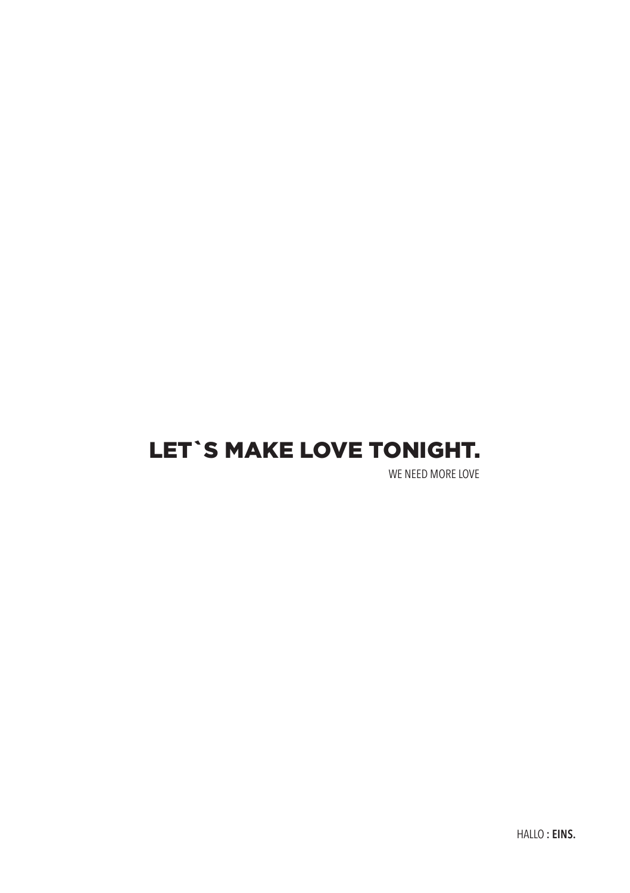# LET`S MAKE LOVE TONIGHT.

WE NEED MORE LOVE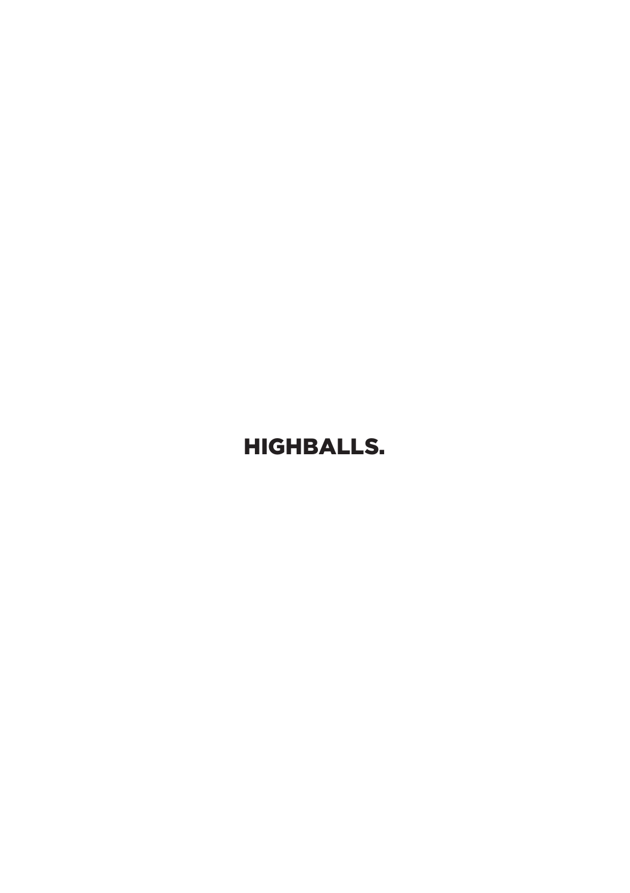# HIGHBALLS.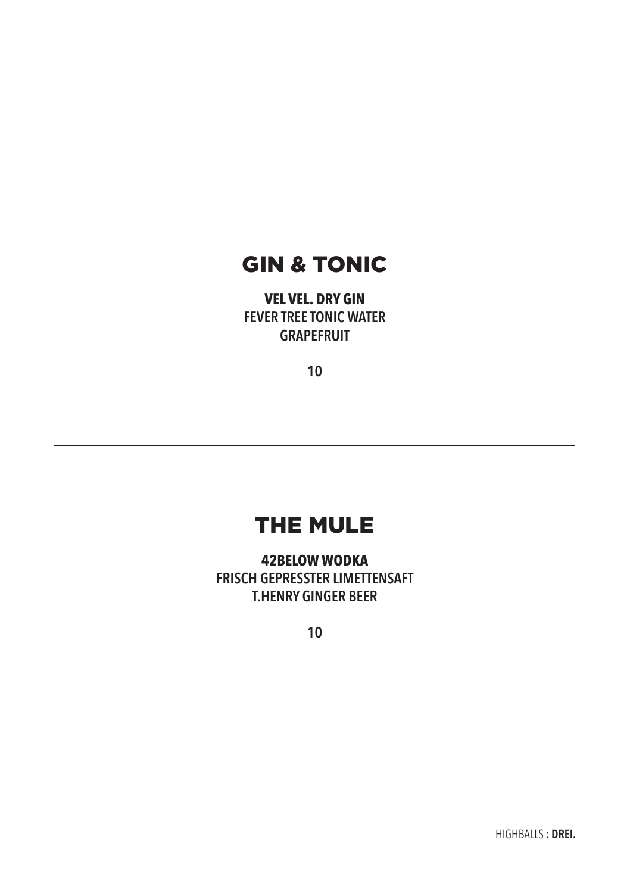## GIN & TONIC

**VEL VEL. DRY GIN FEVER TREE TONIC WATER GRAPEFRUIT**

**10**

## THE MULE

**42BELOW WODKA FRISCH GEPRESSTER LIMETTENSAFT T.HENRY GINGER BEER**

**10**

HIGHBALLS **: DREI.**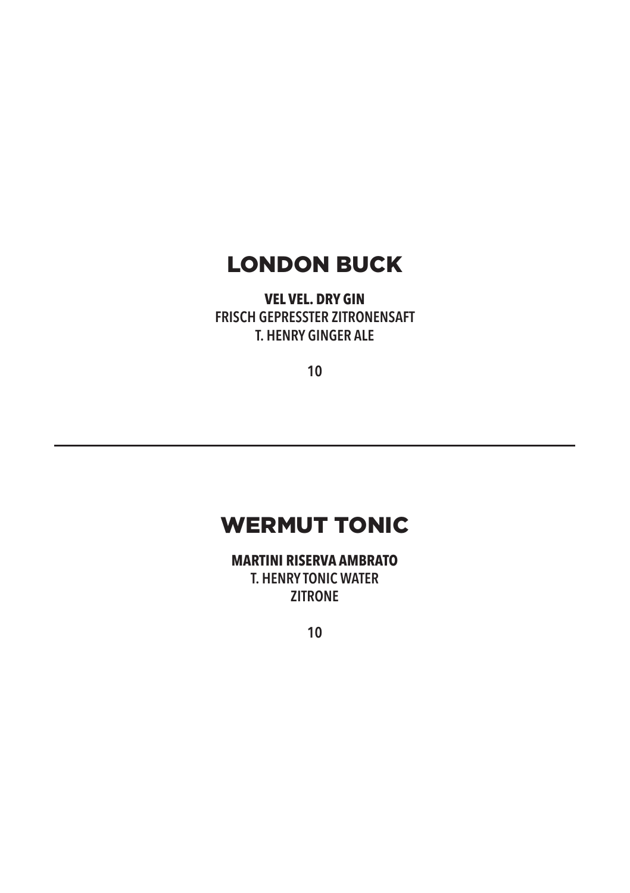## LONDON BUCK

**VEL VEL. DRY GIN FRISCH GEPRESSTER ZITRONENSAFT T. HENRY GINGER ALE**

**10**

# WERMUT TONIC

**MARTINI RISERVA AMBRATO T. HENRY TONIC WATER ZITRONE**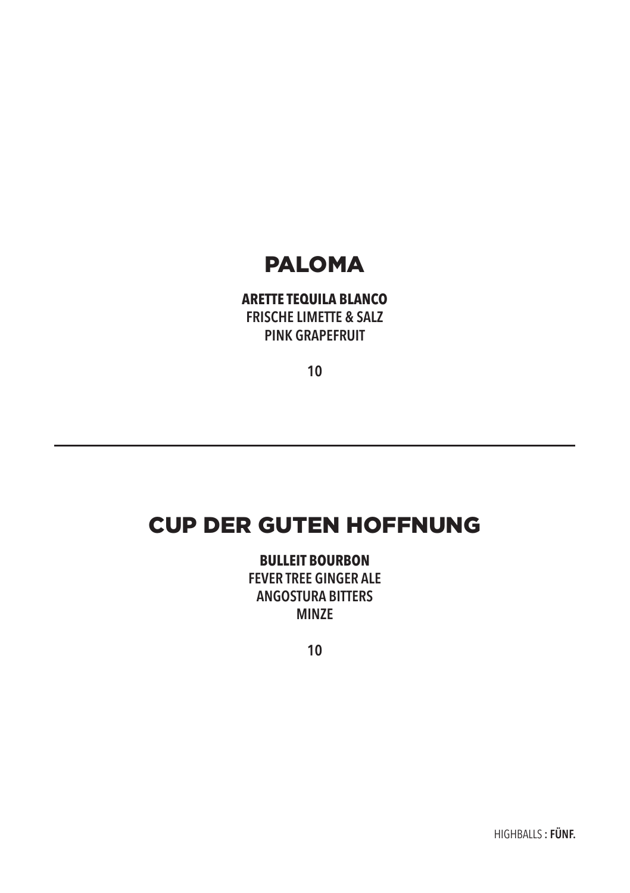# PALOMA

### **ARETTE TEQUILA BLANCO FRISCHE LIMETTE & SALZ PINK GRAPEFRUIT**

**10**

## CUP DER GUTEN HOFFNUNG

**BULLEIT BOURBON FEVER TREE GINGER ALE ANGOSTURA BITTERS MINZE**

**10**

HIGHBALLS **: FÜNF.**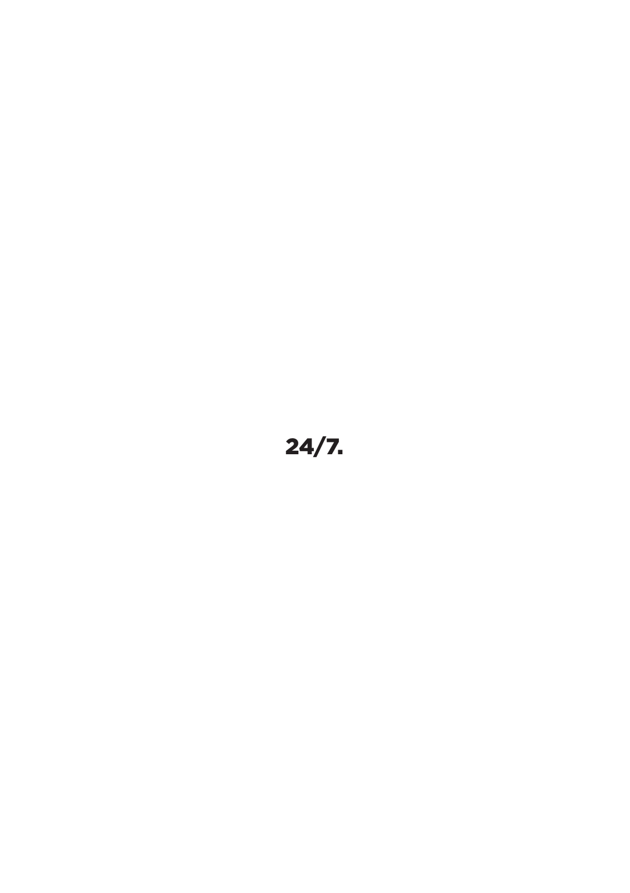# 24/7.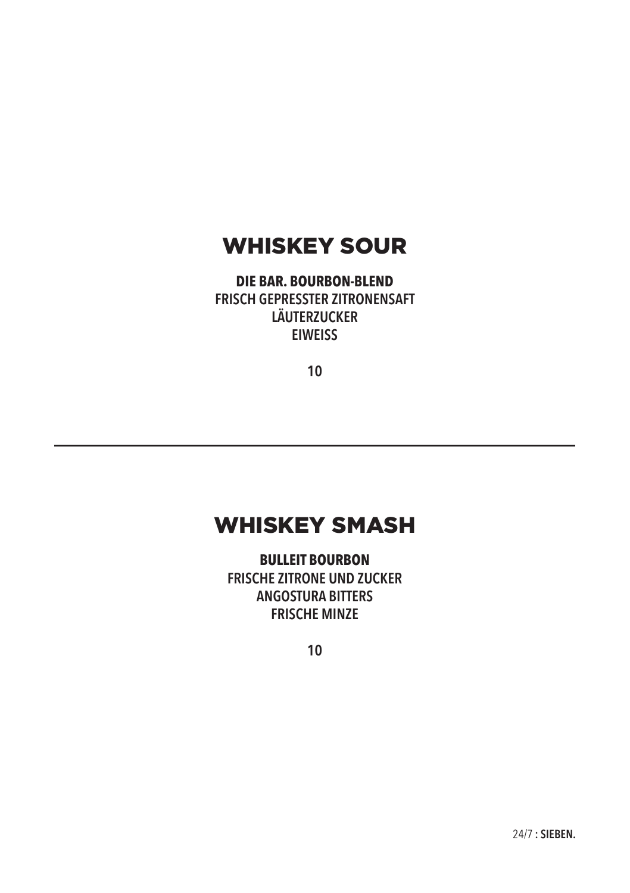## WHISKEY SOUR

**DIE BAR. BOURBON-BLEND FRISCH GEPRESSTER ZITRONENSAFT LÄUTERZUCKER EIWEISS**

**10**

### WHISKEY SMASH

**BULLEIT BOURBON FRISCHE ZITRONE UND ZUCKER ANGOSTURA BITTERS FRISCHE MINZE**

**10**

24/7 **: SIEBEN.**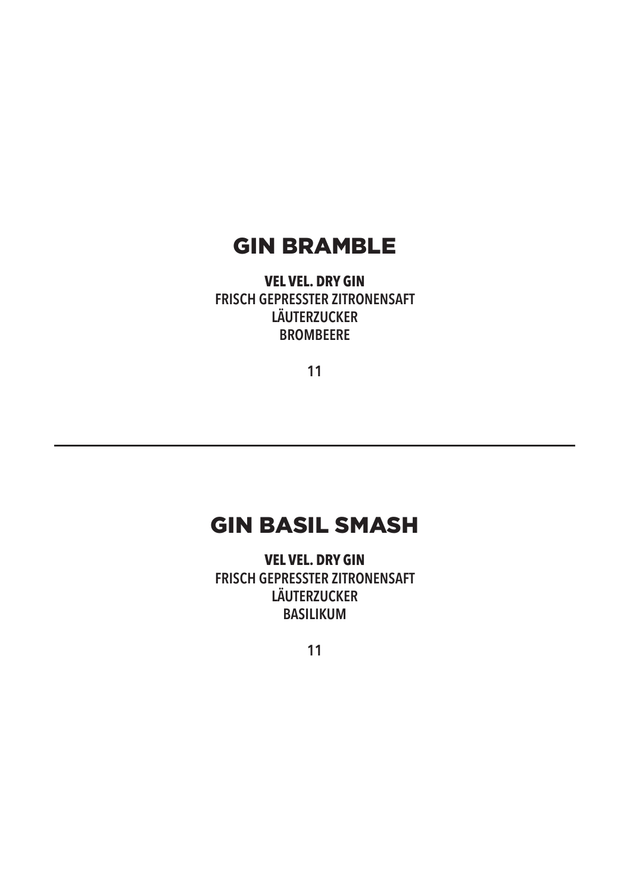### GIN BRAMBLE

**VEL VEL. DRY GIN FRISCH GEPRESSTER ZITRONENSAFT LÄUTERZUCKER BROMBEERE**

**11**

# GIN BASIL SMASH

**VEL VEL. DRY GIN FRISCH GEPRESSTER ZITRONENSAFT LÄUTERZUCKER BASILIKUM**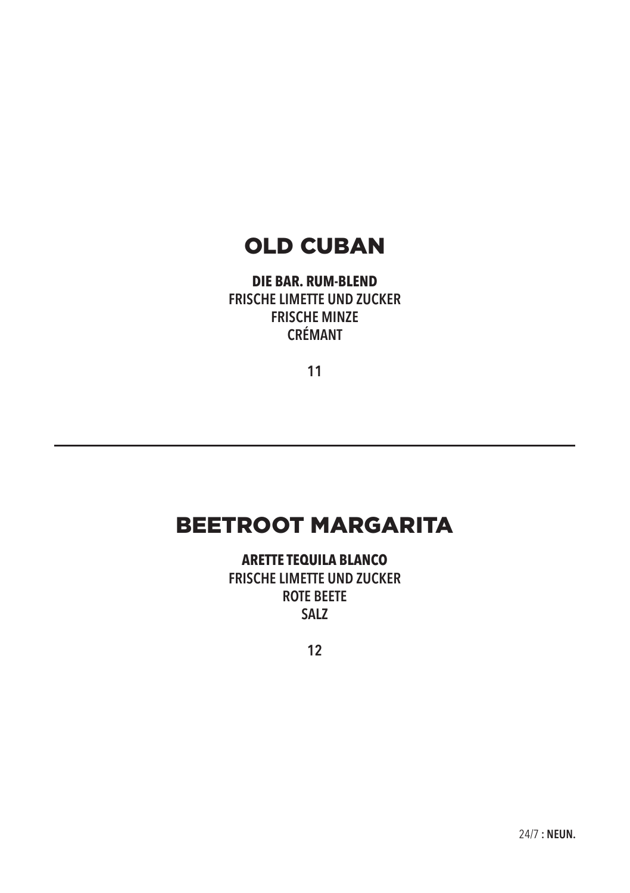## OLD CUBAN

**DIE BAR. RUM-BLEND FRISCHE LIMETTE UND ZUCKER FRISCHE MINZE CRÉMANT**

**11**

### BEETROOT MARGARITA

**ARETTE TEQUILA BLANCO FRISCHE LIMETTE UND ZUCKER ROTE BEETE SALZ**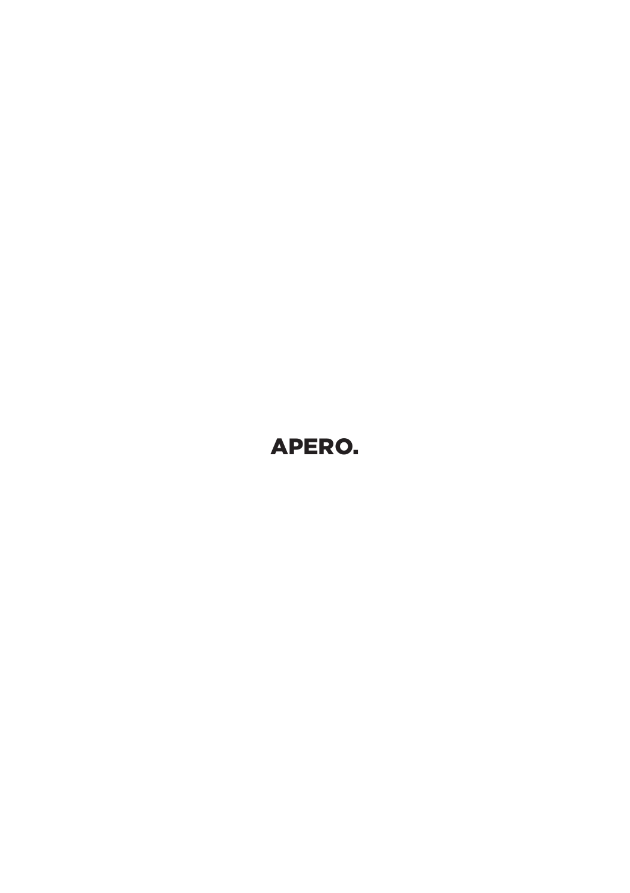# APERO.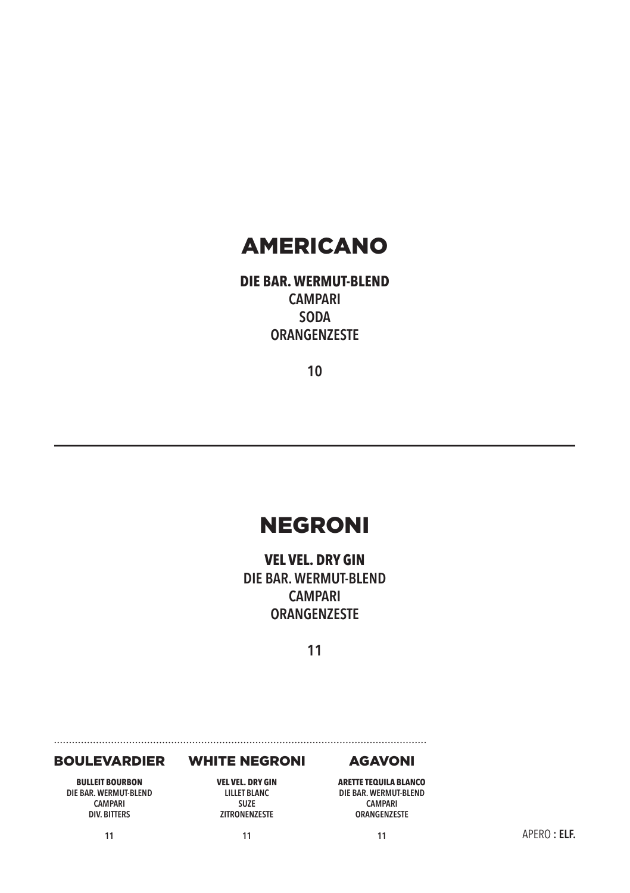### AMERICANO

**DIE BAR. WERMUT-BLEND CAMPARI SODA ORANGENZESTE**

**10**

## NEGRONI

**VEL VEL. DRY GIN DIE BAR. WERMUT-BLEND CAMPARI ORANGENZESTE**

**11**

#### BOULEVARDIER

**BULLEIT BOURBON DIE BAR. WERMUT-BLEND CAMPARI DIV. BITTERS**

**11**

#### WHITE NEGRONI

**VEL VEL. DRY GIN LILLET BLANC SUZE ZITRONENZESTE**

**11**

### AGAVONI

**ARETTE TEQUILA BLANCO DIE BAR. WERMUT-BLEND CAMPARI ORANGENZESTE**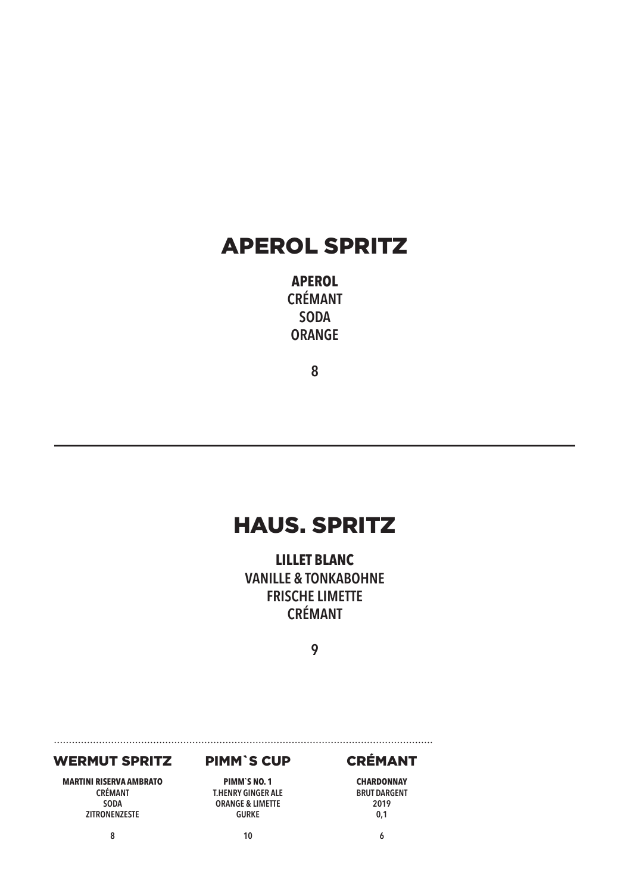## APEROL SPRITZ

**APEROL CRÉMANT SODA ORANGE**

**8**

## HAUS. SPRITZ

**LILLET BLANC VANILLE & TONKABOHNE FRISCHE LIMETTE CRÉMANT**

**9**

#### WERMUT SPRITZ

**MARTINI RISERVA AMBRATO CRÉMANT SODA ZITRONENZESTE**

**8**

#### PIMM`S CUP

**PIMM`S NO. 1 T.HENRY GINGER ALE ORANGE & LIMETTE GURKE**

**10**

### CRÉMANT

**CHARDONNAY BRUT DARGENT 2019 0,1**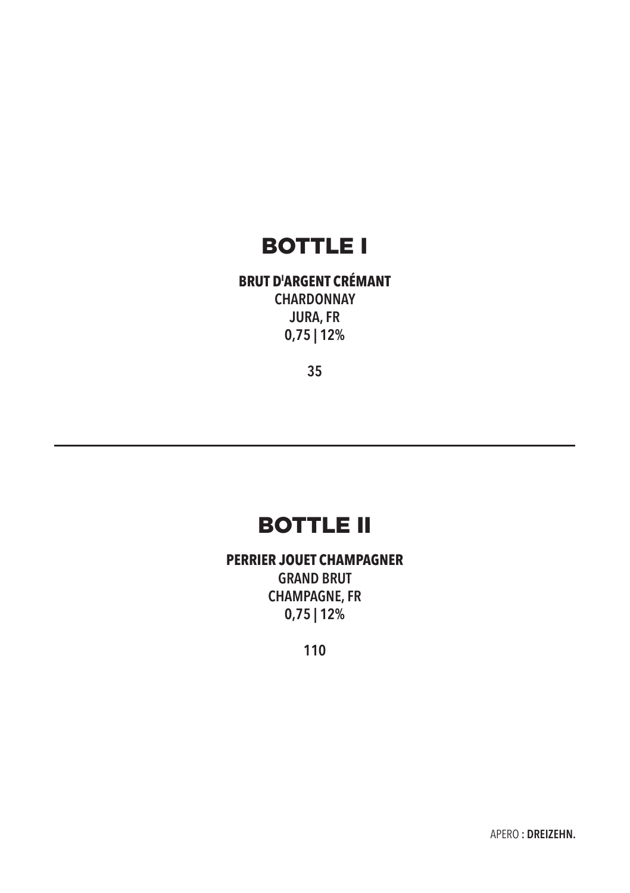## BOTTLE I

**BRUT DI ARGENT CRÉMANT CHARDONNAY JURA, FR 0,75 | 12%**

**35**

## BOTTLE II

**PERRIER JOUET CHAMPAGNER GRAND BRUT CHAMPAGNE, FR 0,75 | 12%**

**110**

APERO **: DREIZEHN.**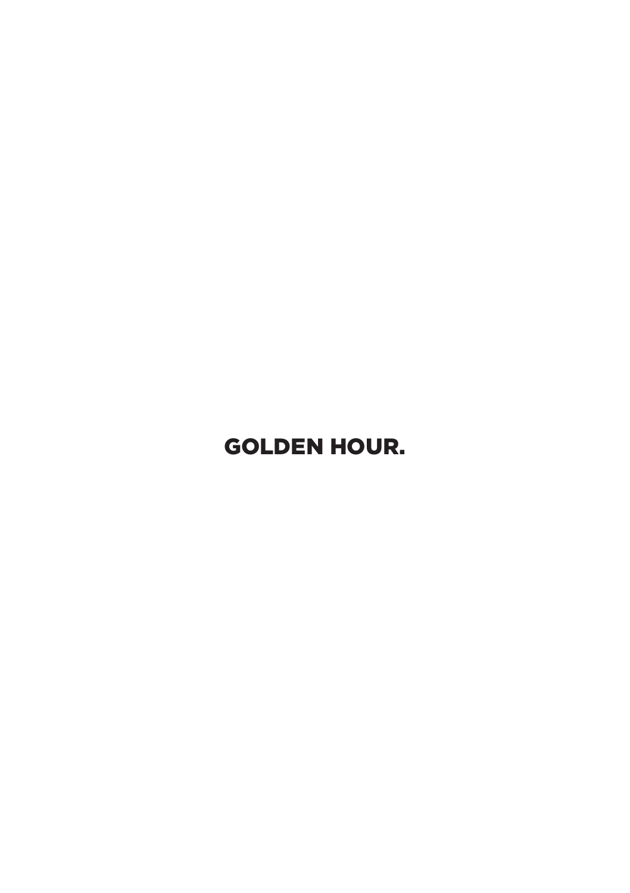# GOLDEN HOUR.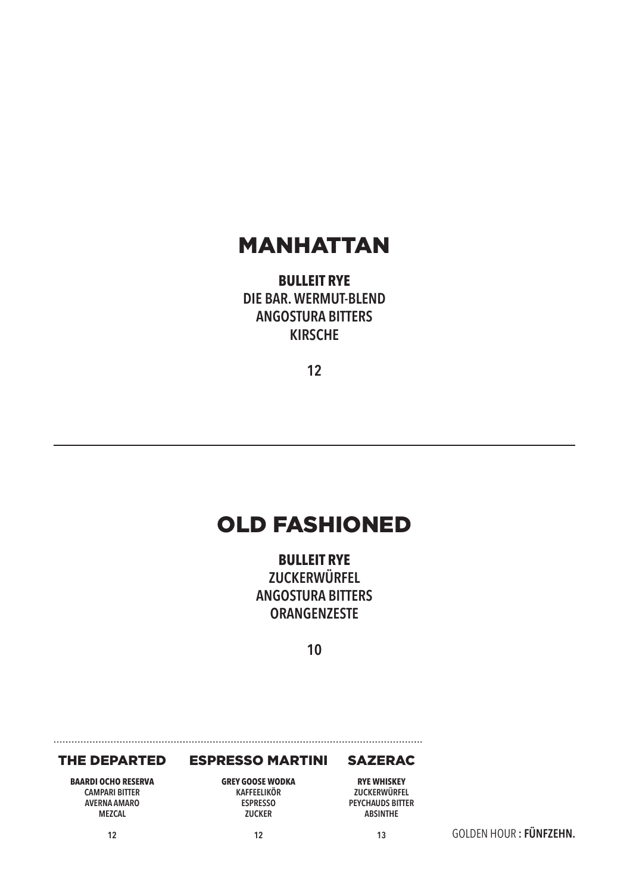### MANHATTAN

**BULLEIT RYE DIE BAR. WERMUT-BLEND ANGOSTURA BITTERS KIRSCHE**

**12**

## OLD FASHIONED

**BULLEIT RYE ZUCKERWÜRFEL ANGOSTURA BITTERS ORANGENZESTE**

**10**

#### THE DEPARTED

ESPRESSO MARTINI

#### SAZERAC

**BAARDI OCHO RESERVA CAMPARI BITTER AVERNA AMARO MEZCAL**

**12**

**GREY GOOSE WODKA KAFFEELIKÖR ESPRESSO ZUCKER**

**12**

**RYE WHISKEY ZUCKERWÜRFEL PEYCHAUDS BITTER ABSINTHE**

GOLDEN HOUR **: FÜNFZEHN.**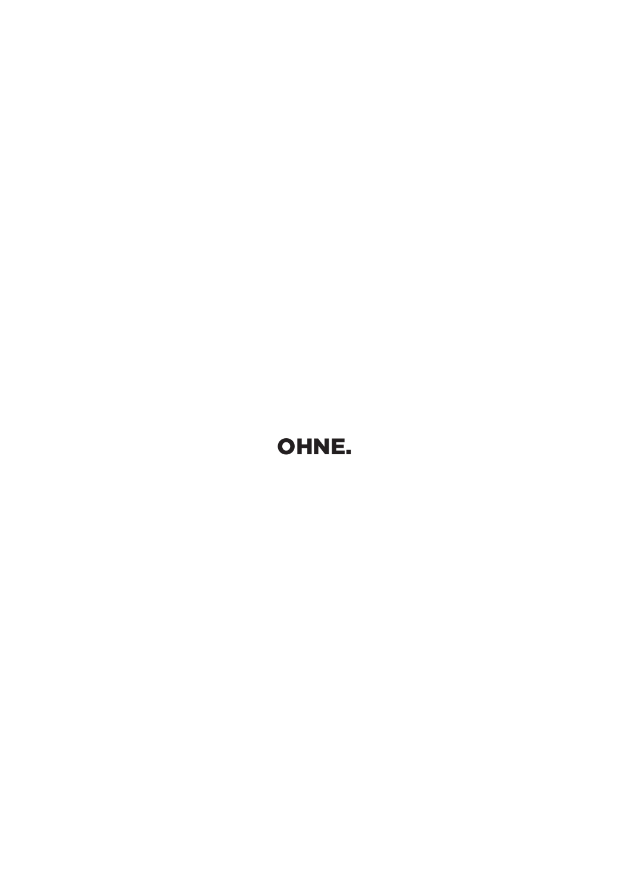# OHNE.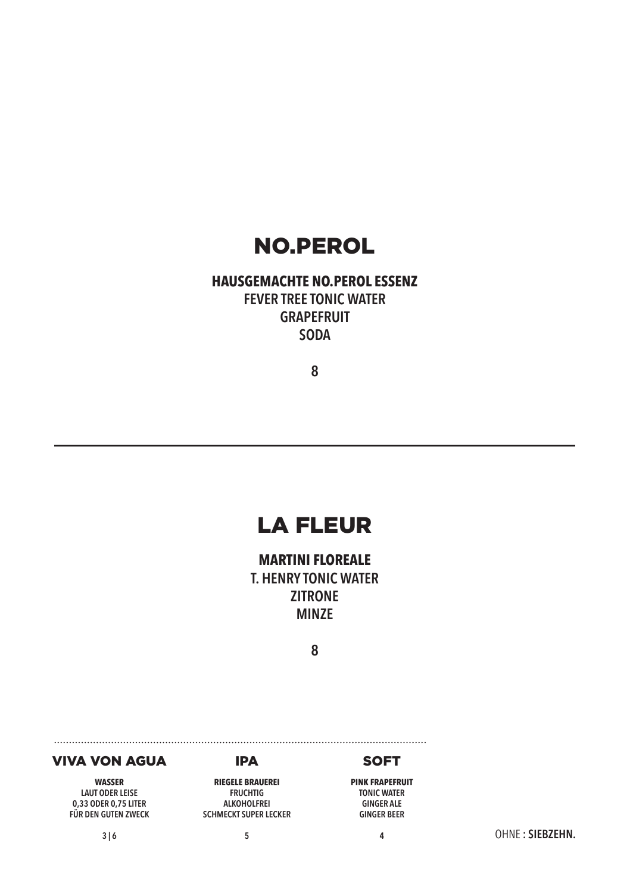## NO.PEROL

### **HAUSGEMACHTE NO.PEROL ESSENZ FEVER TREE TONIC WATER GRAPEFRUIT SODA**

**8**

## LA FLEUR

**MARTINI FLOREALE T. HENRY TONIC WATER ZITRONE MINZE**

**8**

#### VIVA VON AGUA

**WASSER LAUT ODER LEISE 0,33 ODER 0,75 LITER FÜR DEN GUTEN ZWECK**

#### IPA **RIEGELE BRAUEREI**

**FRUCHTIG ALKOHOLFREI SCHMECKT SUPER LECKER**

**5**

### **SOFT**

**PINK FRAPEFRUIT TONIC WATER GINGER ALE GINGER BEER**